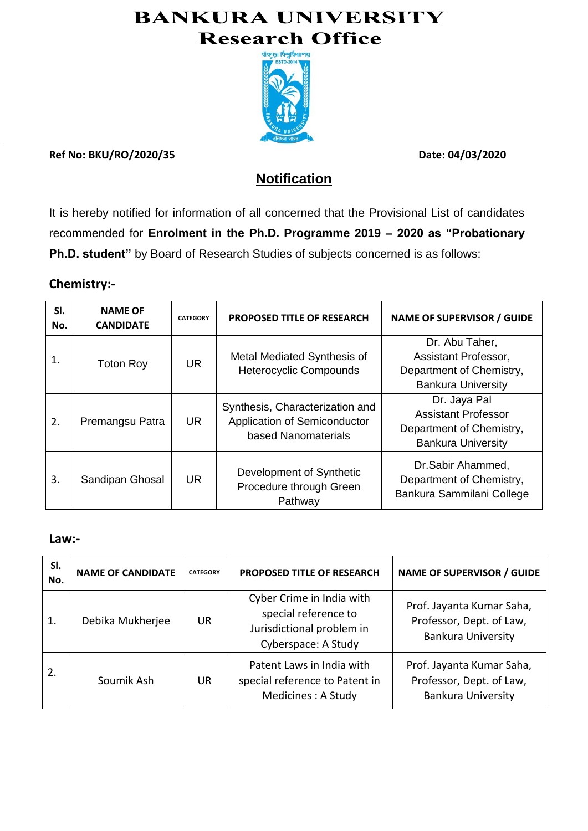# **BANKURA UNIVERSITY Research Office**



**Ref No: BKU/RO/2020/35 Date: 04/03/2020**

## **Notification**

It is hereby notified for information of all concerned that the Provisional List of candidates recommended for **Enrolment in the Ph.D. Programme 2019 – 2020 as "Probationary Ph.D. student"** by Board of Research Studies of subjects concerned is as follows:

### **Chemistry:-**

| SI.<br>No.     | <b>NAME OF</b><br><b>CANDIDATE</b> | <b>CATEGORY</b> | <b>PROPOSED TITLE OF RESEARCH</b>                                                      | <b>NAME OF SUPERVISOR / GUIDE</b>                                                                   |
|----------------|------------------------------------|-----------------|----------------------------------------------------------------------------------------|-----------------------------------------------------------------------------------------------------|
| $\mathbf{1}$ . | <b>Toton Roy</b>                   | <b>UR</b>       | Metal Mediated Synthesis of<br><b>Heterocyclic Compounds</b>                           | Dr. Abu Taher,<br>Assistant Professor,<br>Department of Chemistry,<br><b>Bankura University</b>     |
| 2.             | Premangsu Patra                    | UR.             | Synthesis, Characterization and<br>Application of Semiconductor<br>based Nanomaterials | Dr. Jaya Pal<br><b>Assistant Professor</b><br>Department of Chemistry,<br><b>Bankura University</b> |
| 3.             | Sandipan Ghosal                    | <b>UR</b>       | Development of Synthetic<br>Procedure through Green<br>Pathway                         | Dr.Sabir Ahammed,<br>Department of Chemistry,<br>Bankura Sammilani College                          |

### **Law:-**

| SI.<br>No. | <b>NAME OF CANDIDATE</b> | <b>CATEGORY</b> | <b>PROPOSED TITLE OF RESEARCH</b>                                                                     | <b>NAME OF SUPERVISOR / GUIDE</b>                                                  |
|------------|--------------------------|-----------------|-------------------------------------------------------------------------------------------------------|------------------------------------------------------------------------------------|
| 1.         | Debika Mukherjee         | UR              | Cyber Crime in India with<br>special reference to<br>Jurisdictional problem in<br>Cyberspace: A Study | Prof. Jayanta Kumar Saha,<br>Professor, Dept. of Law,<br><b>Bankura University</b> |
| 2.         | Soumik Ash               | UR              | Patent Laws in India with<br>special reference to Patent in<br>Medicines : A Study                    | Prof. Jayanta Kumar Saha,<br>Professor, Dept. of Law,<br><b>Bankura University</b> |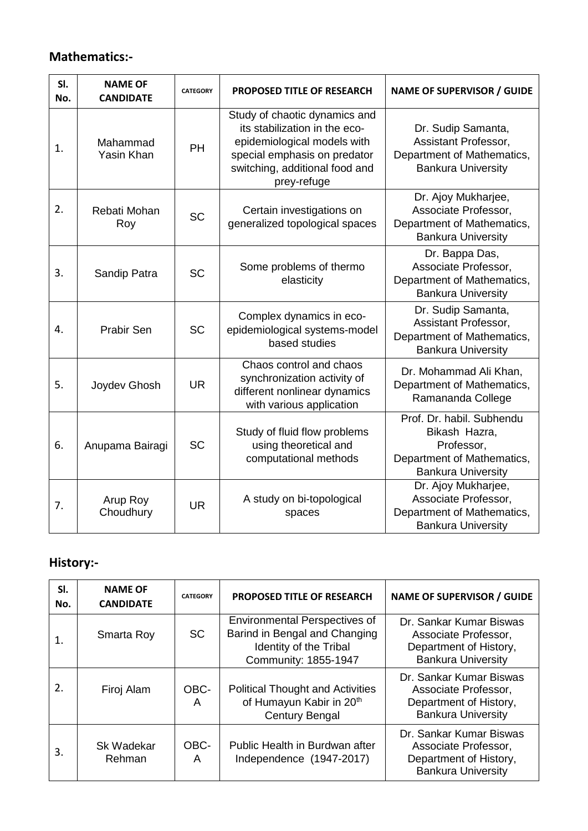## **Mathematics:-**

| SI.<br>No. | <b>NAME OF</b><br><b>CANDIDATE</b> | <b>CATEGORY</b> | PROPOSED TITLE OF RESEARCH                                                                                                                                                     | <b>NAME OF SUPERVISOR / GUIDE</b>                                                                                   |
|------------|------------------------------------|-----------------|--------------------------------------------------------------------------------------------------------------------------------------------------------------------------------|---------------------------------------------------------------------------------------------------------------------|
| 1.         | Mahammad<br>Yasin Khan             | PH              | Study of chaotic dynamics and<br>its stabilization in the eco-<br>epidemiological models with<br>special emphasis on predator<br>switching, additional food and<br>prey-refuge | Dr. Sudip Samanta,<br>Assistant Professor,<br>Department of Mathematics,<br><b>Bankura University</b>               |
| 2.         | Rebati Mohan<br>Roy                | <b>SC</b>       | Certain investigations on<br>generalized topological spaces                                                                                                                    | Dr. Ajoy Mukharjee,<br>Associate Professor,<br>Department of Mathematics,<br><b>Bankura University</b>              |
| 3.         | Sandip Patra                       | <b>SC</b>       | Some problems of thermo<br>elasticity                                                                                                                                          | Dr. Bappa Das,<br>Associate Professor,<br>Department of Mathematics,<br><b>Bankura University</b>                   |
| 4.         | <b>Prabir Sen</b>                  | <b>SC</b>       | Complex dynamics in eco-<br>epidemiological systems-model<br>based studies                                                                                                     | Dr. Sudip Samanta,<br>Assistant Professor,<br>Department of Mathematics,<br><b>Bankura University</b>               |
| 5.         | Joydev Ghosh                       | <b>UR</b>       | Chaos control and chaos<br>synchronization activity of<br>different nonlinear dynamics<br>with various application                                                             | Dr. Mohammad Ali Khan,<br>Department of Mathematics,<br>Ramananda College                                           |
| 6.         | Anupama Bairagi                    | <b>SC</b>       | Study of fluid flow problems<br>using theoretical and<br>computational methods                                                                                                 | Prof. Dr. habil. Subhendu<br>Bikash Hazra,<br>Professor,<br>Department of Mathematics,<br><b>Bankura University</b> |
| 7.         | Arup Roy<br>Choudhury              | <b>UR</b>       | A study on bi-topological<br>spaces                                                                                                                                            | Dr. Ajoy Mukharjee,<br>Associate Professor,<br>Department of Mathematics,<br><b>Bankura University</b>              |

## **History:-**

| SI.<br>No. | <b>NAME OF</b><br><b>CANDIDATE</b> | <b>CATEGORY</b> | <b>PROPOSED TITLE OF RESEARCH</b>                                                                                       | <b>NAME OF SUPERVISOR / GUIDE</b>                                                                      |
|------------|------------------------------------|-----------------|-------------------------------------------------------------------------------------------------------------------------|--------------------------------------------------------------------------------------------------------|
| 1.         | Smarta Roy                         | <b>SC</b>       | <b>Environmental Perspectives of</b><br>Barind in Bengal and Changing<br>Identity of the Tribal<br>Community: 1855-1947 | Dr. Sankar Kumar Biswas<br>Associate Professor,<br>Department of History,<br><b>Bankura University</b> |
| 2.         | Firoj Alam                         | OBC-<br>A       | <b>Political Thought and Activities</b><br>of Humayun Kabir in 20th<br><b>Century Bengal</b>                            | Dr. Sankar Kumar Biswas<br>Associate Professor,<br>Department of History,<br><b>Bankura University</b> |
| 3.         | <b>Sk Wadekar</b><br>Rehman        | OBC-<br>A       | Public Health in Burdwan after<br>Independence (1947-2017)                                                              | Dr. Sankar Kumar Biswas<br>Associate Professor,<br>Department of History,<br><b>Bankura University</b> |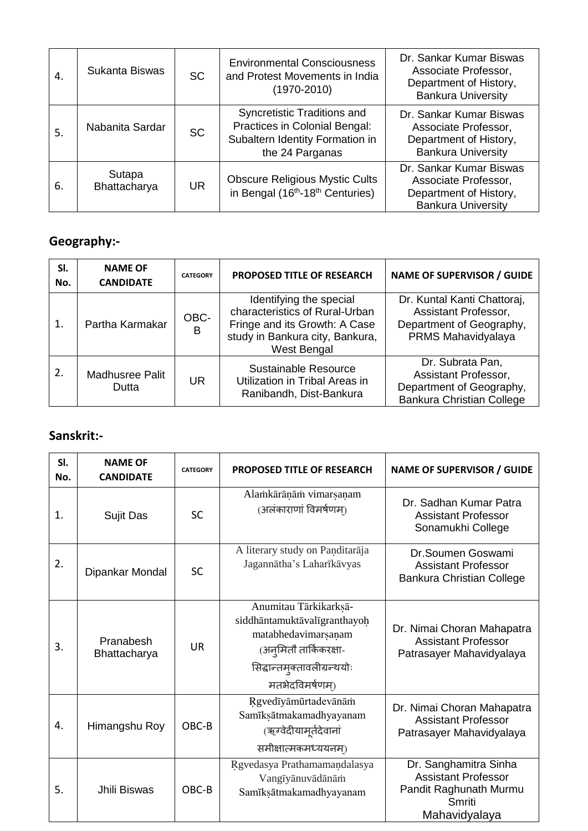| 4. | Sukanta Biswas         | <b>SC</b> | <b>Environmental Consciousness</b><br>and Protest Movements in India<br>$(1970 - 2010)$                            | Dr. Sankar Kumar Biswas<br>Associate Professor,<br>Department of History,<br><b>Bankura University</b> |
|----|------------------------|-----------|--------------------------------------------------------------------------------------------------------------------|--------------------------------------------------------------------------------------------------------|
| 5. | Nabanita Sardar        | <b>SC</b> | Syncretistic Traditions and<br>Practices in Colonial Bengal:<br>Subaltern Identity Formation in<br>the 24 Parganas | Dr. Sankar Kumar Biswas<br>Associate Professor,<br>Department of History,<br><b>Bankura University</b> |
| 6. | Sutapa<br>Bhattacharya | <b>UR</b> | <b>Obscure Religious Mystic Cults</b><br>in Bengal (16 <sup>th</sup> -18 <sup>th</sup> Centuries)                  | Dr. Sankar Kumar Biswas<br>Associate Professor,<br>Department of History,<br><b>Bankura University</b> |

## **Geography:-**

| SI.<br>No. | <b>NAME OF</b><br><b>CANDIDATE</b> | <b>CATEGORY</b> | PROPOSED TITLE OF RESEARCH                                                                                                                   | <b>NAME OF SUPERVISOR / GUIDE</b>                                                                        |
|------------|------------------------------------|-----------------|----------------------------------------------------------------------------------------------------------------------------------------------|----------------------------------------------------------------------------------------------------------|
| 1.         | Partha Karmakar                    | OBC-<br>B       | Identifying the special<br>characteristics of Rural-Urban<br>Fringe and its Growth: A Case<br>study in Bankura city, Bankura,<br>West Bengal | Dr. Kuntal Kanti Chattoraj,<br>Assistant Professor,<br>Department of Geography,<br>PRMS Mahavidyalaya    |
| 2.         | <b>Madhusree Palit</b><br>Dutta    | UR              | <b>Sustainable Resource</b><br>Utilization in Tribal Areas in<br>Ranibandh, Dist-Bankura                                                     | Dr. Subrata Pan,<br>Assistant Professor,<br>Department of Geography,<br><b>Bankura Christian College</b> |

## **Sanskrit:-**

| SI.<br>No. | <b>NAME OF</b><br><b>CANDIDATE</b> | <b>CATEGORY</b> | <b>PROPOSED TITLE OF RESEARCH</b>                                                                                                                       | <b>NAME OF SUPERVISOR / GUIDE</b>                                                                        |
|------------|------------------------------------|-----------------|---------------------------------------------------------------------------------------------------------------------------------------------------------|----------------------------------------------------------------------------------------------------------|
| 1.         | Sujit Das                          | <b>SC</b>       | Alamkārānām vimarsanam<br>(अलंकाराणां विमर्षणम)                                                                                                         | Dr. Sadhan Kumar Patra<br><b>Assistant Professor</b><br>Sonamukhi College                                |
| 2.         | Dipankar Mondal                    | <b>SC</b>       | A literary study on Panditarāja<br>Jagannātha's Laharīkāvyas                                                                                            | Dr.Soumen Goswami<br><b>Assistant Professor</b><br>Bankura Christian College                             |
| 3.         | Pranabesh<br>Bhattacharya          | <b>UR</b>       | Anumitau Tārkikarksā-<br>siddhāntamuktāvalīgranthayoḥ<br>matabhedavimarsanam<br>(अन्मितौ तार्किकरक्षा-<br>सिद्धान्तमुक्तावलीग्रन्थयोः<br>मतभेदविमर्षणम) | Dr. Nimai Choran Mahapatra<br><b>Assistant Professor</b><br>Patrasayer Mahavidyalaya                     |
| 4.         | Himangshu Roy                      | OBC-B           | Rgvedīyāmūrtadevānām<br>Samīksātmakamadhyayanam<br>(ऋग्वेदीयामूर्तदेवानां<br>समीक्षात्मकमध्ययनम)                                                        | Dr. Nimai Choran Mahapatra<br><b>Assistant Professor</b><br>Patrasayer Mahavidyalaya                     |
| 5.         | Jhili Biswas                       | OBC-B           | Rgvedasya Prathamamandalasya<br>Vangīyānuvādānām<br>Samīksātmakamadhyayanam                                                                             | Dr. Sanghamitra Sinha<br><b>Assistant Professor</b><br>Pandit Raghunath Murmu<br>Smriti<br>Mahavidyalaya |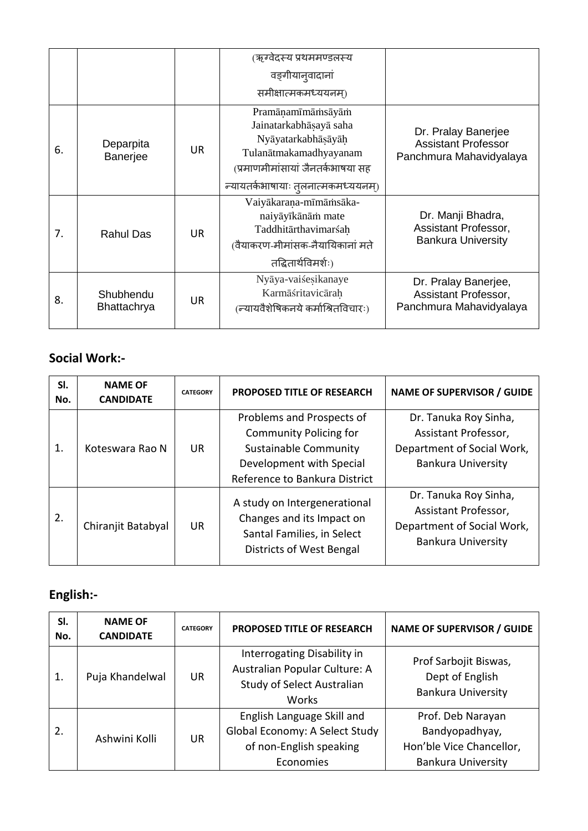|    |                          |           | (ऋग्वेदस्य प्रथममण्डलस्य<br>वङ्गीयान् वादानां<br>समीक्षात्मकमध्ययनम)                                                                                                  |                                                                              |
|----|--------------------------|-----------|-----------------------------------------------------------------------------------------------------------------------------------------------------------------------|------------------------------------------------------------------------------|
| 6. | Deparpita<br>Banerjee    | <b>UR</b> | Pramānamīmāmsāyām<br>Jainatarkabhāsayā saha<br>Nyāyatarkabhāṣāyāḥ<br>Tulanātmakamadhyayanam<br>(प्रमाणमीमांसायां जैनतर्कभाषया सह<br>न्यायतर्कभाषायाः तलनात्मकमध्ययनम) | Dr. Pralay Banerjee<br><b>Assistant Professor</b><br>Panchmura Mahavidyalaya |
| 7. | <b>Rahul Das</b>         | UR.       | Vaiyākaraņa-mīmāmsāka-<br>naiyāyīkānām mate<br>Taddhitārthavimarśah<br>(वैयाकरण-मीमांसक-नैयायिकानां मते<br>तद्धितार्थविमर्शः)                                         | Dr. Manji Bhadra,<br>Assistant Professor,<br><b>Bankura University</b>       |
| 8. | Shubhendu<br>Bhattachrya | UR.       | Nyāya-vaiśesikanaye<br>Karmāśritavicārah<br>(न्यायवैशेषिकनये कर्माश्रितविचारः)                                                                                        | Dr. Pralay Banerjee,<br>Assistant Professor,<br>Panchmura Mahavidyalaya      |

### **Social Work:-**

| SI.<br>No. | <b>NAME OF</b><br><b>CANDIDATE</b> | <b>CATEGORY</b> | <b>PROPOSED TITLE OF RESEARCH</b>                                                                                                                | <b>NAME OF SUPERVISOR / GUIDE</b>                                                                        |
|------------|------------------------------------|-----------------|--------------------------------------------------------------------------------------------------------------------------------------------------|----------------------------------------------------------------------------------------------------------|
| 1.         | Koteswara Rao N                    | <b>UR</b>       | Problems and Prospects of<br><b>Community Policing for</b><br>Sustainable Community<br>Development with Special<br>Reference to Bankura District | Dr. Tanuka Roy Sinha,<br>Assistant Professor,<br>Department of Social Work,<br><b>Bankura University</b> |
| 2.         | Chiranjit Batabyal                 | <b>UR</b>       | A study on Intergenerational<br>Changes and its Impact on<br>Santal Families, in Select<br>Districts of West Bengal                              | Dr. Tanuka Roy Sinha,<br>Assistant Professor,<br>Department of Social Work,<br><b>Bankura University</b> |

## **English:-**

| SI.<br>No. | <b>NAME OF</b><br><b>CANDIDATE</b> | <b>CATEGORY</b> | <b>PROPOSED TITLE OF RESEARCH</b>                                                                          | <b>NAME OF SUPERVISOR / GUIDE</b>                                                            |
|------------|------------------------------------|-----------------|------------------------------------------------------------------------------------------------------------|----------------------------------------------------------------------------------------------|
| 1.         | Puja Khandelwal                    | <b>UR</b>       | Interrogating Disability in<br>Australian Popular Culture: A<br>Study of Select Australian<br><b>Works</b> | Prof Sarbojit Biswas,<br>Dept of English<br><b>Bankura University</b>                        |
| 2.         | Ashwini Kolli                      | <b>UR</b>       | English Language Skill and<br>Global Economy: A Select Study<br>of non-English speaking<br>Economies       | Prof. Deb Narayan<br>Bandyopadhyay,<br>Hon'ble Vice Chancellor,<br><b>Bankura University</b> |